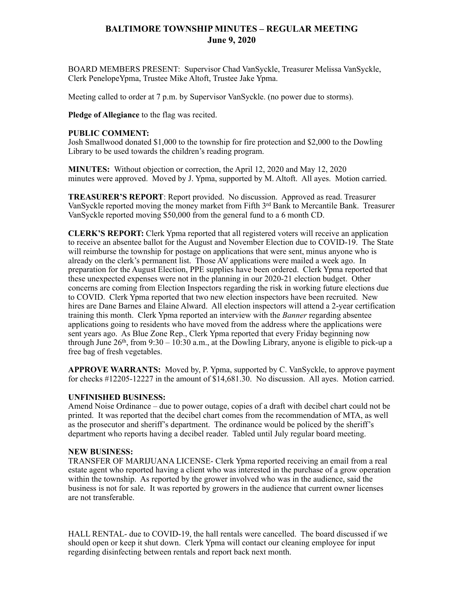## **BALTIMORE TOWNSHIP MINUTES – REGULAR MEETING June 9, 2020**

BOARD MEMBERS PRESENT: Supervisor Chad VanSyckle, Treasurer Melissa VanSyckle, Clerk PenelopeYpma, Trustee Mike Altoft, Trustee Jake Ypma.

Meeting called to order at 7 p.m. by Supervisor VanSyckle. (no power due to storms).

**Pledge of Allegiance** to the flag was recited.

## **PUBLIC COMMENT:**

Josh Smallwood donated \$1,000 to the township for fire protection and \$2,000 to the Dowling Library to be used towards the children's reading program.

**MINUTES:** Without objection or correction, the April 12, 2020 and May 12, 2020 minutes were approved. Moved by J. Ypma, supported by M. Altoft. All ayes. Motion carried.

**TREASURER'S REPORT**: Report provided. No discussion. Approved as read. Treasurer VanSyckle reported moving the money market from Fifth  $3<sup>rd</sup>$  Bank to Mercantile Bank. Treasurer VanSyckle reported moving \$50,000 from the general fund to a 6 month CD.

**CLERK'S REPORT:** Clerk Ypma reported that all registered voters will receive an application to receive an absentee ballot for the August and November Election due to COVID-19. The State will reimburse the township for postage on applications that were sent, minus anyone who is already on the clerk's permanent list. Those AV applications were mailed a week ago. In preparation for the August Election, PPE supplies have been ordered. Clerk Ypma reported that these unexpected expenses were not in the planning in our 2020-21 election budget. Other concerns are coming from Election Inspectors regarding the risk in working future elections due to COVID. Clerk Ypma reported that two new election inspectors have been recruited. New hires are Dane Barnes and Elaine Alward. All election inspectors will attend a 2-year certification training this month. Clerk Ypma reported an interview with the *Banner* regarding absentee applications going to residents who have moved from the address where the applications were sent years ago. As Blue Zone Rep., Clerk Ypma reported that every Friday beginning now through June  $26<sup>th</sup>$ , from  $9:30 - 10:30$  a.m., at the Dowling Library, anyone is eligible to pick-up a free bag of fresh vegetables.

**APPROVE WARRANTS:** Moved by, P. Ypma, supported by C. VanSyckle, to approve payment for checks #12205-12227 in the amount of \$14,681.30. No discussion. All ayes. Motion carried.

## **UNFINISHED BUSINESS:**

Amend Noise Ordinance – due to power outage, copies of a draft with decibel chart could not be printed. It was reported that the decibel chart comes from the recommendation of MTA, as well as the prosecutor and sheriff's department. The ordinance would be policed by the sheriff's department who reports having a decibel reader. Tabled until July regular board meeting.

## **NEW BUSINESS:**

TRANSFER OF MARIJUANA LICENSE- Clerk Ypma reported receiving an email from a real estate agent who reported having a client who was interested in the purchase of a grow operation within the township. As reported by the grower involved who was in the audience, said the business is not for sale. It was reported by growers in the audience that current owner licenses are not transferable.

HALL RENTAL- due to COVID-19, the hall rentals were cancelled. The board discussed if we should open or keep it shut down. Clerk Ypma will contact our cleaning employee for input regarding disinfecting between rentals and report back next month.